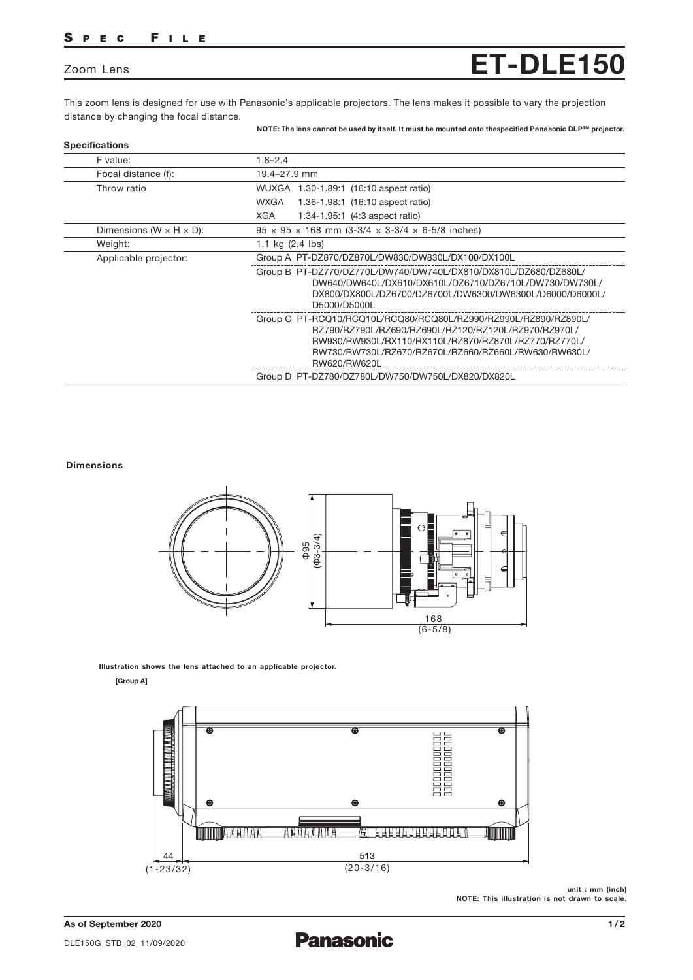## SPEC FILE

## Zoom Lens **ET-DLE150**

This zoom lens is designed for use with Panasonic's applicable projectors. The lens makes it possible to vary the projection distance by changing the focal distance.

NOTE: The lens cannot be used by itself. It must be mounted onto thespecified Panasonic DLP™ projector.

| F value:                              | $1.8 - 2.4$                                                                                                                                                                                                                                             |
|---------------------------------------|---------------------------------------------------------------------------------------------------------------------------------------------------------------------------------------------------------------------------------------------------------|
| Focal distance (f):                   | 19.4-27.9 mm                                                                                                                                                                                                                                            |
| Throw ratio                           | WUXGA 1.30-1.89:1 (16:10 aspect ratio)                                                                                                                                                                                                                  |
|                                       | WXGA<br>1.36-1.98:1 (16:10 aspect ratio)                                                                                                                                                                                                                |
|                                       | XGA<br>1.34-1.95.1 (4:3 aspect ratio)                                                                                                                                                                                                                   |
| Dimensions (W $\times$ H $\times$ D): | $95 \times 95 \times 168$ mm (3-3/4 $\times$ 3-3/4 $\times$ 6-5/8 inches)                                                                                                                                                                               |
| Weight:                               | 1.1 kg $(2.4 \text{ lbs})$                                                                                                                                                                                                                              |
| Applicable projector:                 | Group A PT-DZ870/DZ870L/DW830/DW830L/DX100/DX100L                                                                                                                                                                                                       |
|                                       | Group B PT-DZ770/DZ770L/DW740/DW740L/DX810/DX810L/DZ680/DZ680L/<br>DW640/DW640L/DX610/DX610L/DZ6710/DZ6710L/DW730/DW730L/<br>DX800/DX800L/DZ6700/DZ6700L/DW6300/DW6300L/D6000/D6000L/<br>D5000/D5000L                                                   |
|                                       | Group C PT-RCQ10/RCQ10L/RCQ80/RCQ80L/RZ990/RZ990L/RZ890/RZ890L/<br>RZ790/RZ790L/RZ690/RZ690L/RZ120/RZ120L/RZ970/RZ970L/<br>RW930/RW930L/RX110/RX110L/RZ870/RZ870L/RZ770/RZ770L/<br>RW730/RW730L/RZ670/RZ670L/RZ660/RZ660L/RW630/RW630L/<br>RW620/RW620L |
|                                       | Group D PT-DZ780/DZ780L/DW750/DW750L/DX820/DX820L                                                                                                                                                                                                       |

## Dimensions



Illustration shows the lens attached to an applicable projector.

[Group A]



unit : mm (inch) NOTE: This illustration is not drawn to scale.